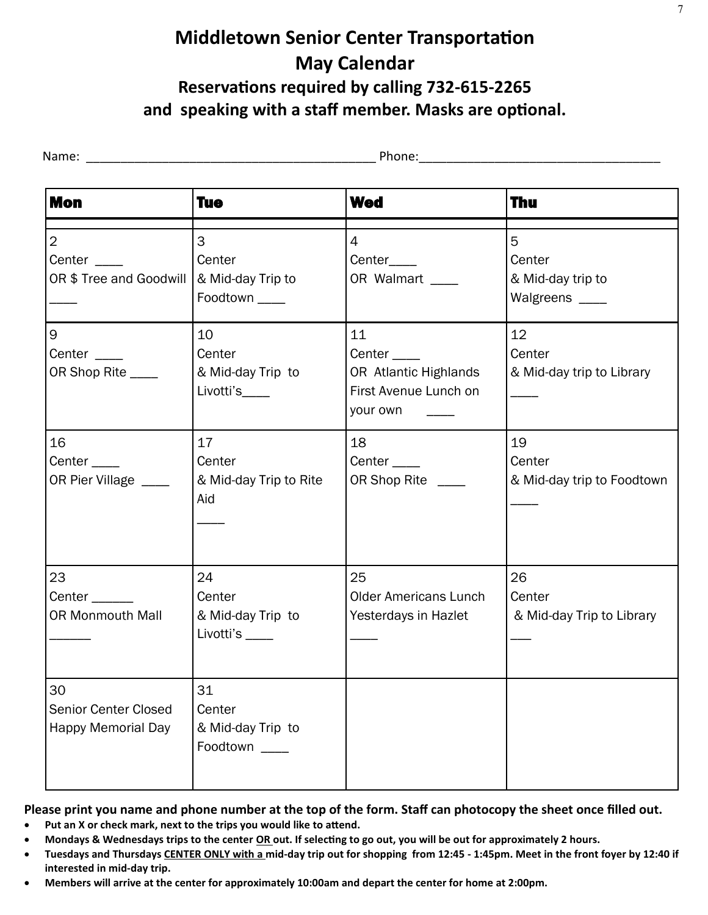# **Middletown Senior Center Transportation May Calendar Reservations required by calling 732-615-2265 and speaking with a staff member. Masks are optional.**

| <b>Mon</b>                                                     | <b>Tue</b>                                           | <b>Wed</b>                                                                             | Thu                                                |
|----------------------------------------------------------------|------------------------------------------------------|----------------------------------------------------------------------------------------|----------------------------------------------------|
| $\overline{2}$<br>Center $\_\_$<br>OR \$ Tree and Goodwill     | 3<br>Center<br>& Mid-day Trip to<br>Foodtown _____   | $\overline{4}$<br>Center____<br>OR Walmart ____                                        | 5<br>Center<br>& Mid-day trip to<br>Walgreens ____ |
| 9<br>Center $\_\_$<br>OR Shop Rite ____                        | 10<br>Center<br>& Mid-day Trip to<br>Livotti's____   | 11<br>Center $\_\_\_\_\$<br>OR Atlantic Highlands<br>First Avenue Lunch on<br>your own | 12<br>Center<br>& Mid-day trip to Library          |
| 16<br>Center <sub>____</sub><br>OR Pier Village ____           | 17<br>Center<br>& Mid-day Trip to Rite<br>Aid        | 18<br>Center <sub>____</sub><br>OR Shop Rite ____                                      | 19<br>Center<br>& Mid-day trip to Foodtown         |
| 23<br>Center ______<br><b>OR Monmouth Mall</b>                 | 24<br>Center<br>& Mid-day Trip to<br>Livotti's _____ | 25<br><b>Older Americans Lunch</b><br>Yesterdays in Hazlet                             | 26<br>Center<br>& Mid-day Trip to Library          |
| 30<br><b>Senior Center Closed</b><br><b>Happy Memorial Day</b> | 31<br>Center<br>& Mid-day Trip to<br>Foodtown ____   |                                                                                        |                                                    |

#### **Please print you name and phone number at the top of the form. Staff can photocopy the sheet once filled out.**

- **Put an X or check mark, next to the trips you would like to attend.**
- **Mondays & Wednesdays trips to the center OR out. If selecting to go out, you will be out for approximately 2 hours.**
- **Tuesdays and Thursdays CENTER ONLY with a mid-day trip out for shopping from 12:45 - 1:45pm. Meet in the front foyer by 12:40 if interested in mid-day trip.**
- **Members will arrive at the center for approximately 10:00am and depart the center for home at 2:00pm.**